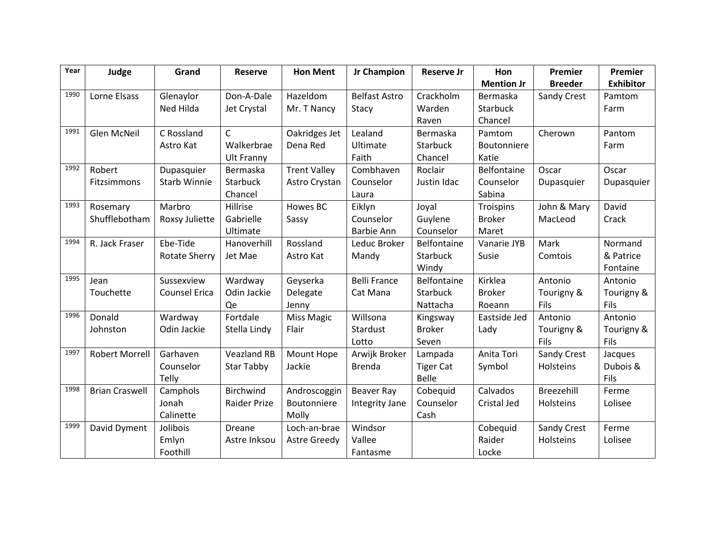| Year | Judge                 | Grand                | <b>Reserve</b>      | <b>Hon Ment</b>     | Jr Champion          | <b>Reserve Jr</b>  | Hon               | Premier        | Premier          |
|------|-----------------------|----------------------|---------------------|---------------------|----------------------|--------------------|-------------------|----------------|------------------|
|      |                       |                      |                     |                     |                      |                    | <b>Mention Jr</b> | <b>Breeder</b> | <b>Exhibitor</b> |
| 1990 | Lorne Elsass          | Glenaylor            | Don-A-Dale          | <b>Hazeldom</b>     | <b>Belfast Astro</b> | Crackholm          | Bermaska          | Sandy Crest    | Pamtom           |
|      |                       | Ned Hilda            | Jet Crystal         | Mr. T Nancy         | Stacy                | Warden             | Starbuck          |                | Farm             |
|      |                       |                      |                     |                     |                      | Raven              | Chancel           |                |                  |
| 1991 | Glen McNeil           | C Rossland           | $\mathsf{C}$        | Oakridges Jet       | Lealand              | Bermaska           | Pamtom            | Cherown        | Pantom           |
|      |                       | Astro Kat            | Walkerbrae          | Dena Red            | Ultimate             | Starbuck           | Boutonniere       |                | Farm             |
|      |                       |                      | <b>Ult Franny</b>   |                     | Faith                | Chancel            | Katie             |                |                  |
| 1992 | Robert                | Dupasquier           | Bermaska            | <b>Trent Valley</b> | Combhaven            | Roclair            | Belfontaine       | Oscar          | Oscar            |
|      | Fitzsimmons           | <b>Starb Winnie</b>  | Starbuck            | Astro Crystan       | Counselor            | Justin Idac        | Counselor         | Dupasquier     | Dupasquier       |
|      |                       |                      | Chancel             |                     | Laura                |                    | Sabina            |                |                  |
| 1993 | Rosemary              | Marbro               | Hillrise            | Howes BC            | Eiklyn               | Joyal              | Troispins         | John & Mary    | David            |
|      | Shufflebotham         | Roxsy Juliette       | Gabrielle           | Sassy               | Counselor            | Guylene            | <b>Broker</b>     | MacLeod        | Crack            |
|      |                       |                      | Ultimate            |                     | <b>Barbie Ann</b>    | Counselor          | Maret             |                |                  |
| 1994 | R. Jack Fraser        | Ebe-Tide             | Hanoverhill         | Rossland            | Leduc Broker         | Belfontaine        | Vanarie JYB       | Mark           | Normand          |
|      |                       | <b>Rotate Sherry</b> | Jet Mae             | Astro Kat           | Mandy                | Starbuck           | Susie             | Comtois        | & Patrice        |
|      |                       |                      |                     |                     |                      | Windy              |                   |                | Fontaine         |
| 1995 | Jean                  | Sussexview           | Wardway             | Geyserka            | <b>Belli France</b>  | <b>Belfontaine</b> | Kirklea           | Antonio        | Antonio          |
|      | Touchette             | <b>Counsel Erica</b> | Odin Jackie         | Delegate            | Cat Mana             | Starbuck           | <b>Broker</b>     | Tourigny &     | Tourigny &       |
|      |                       |                      | Qe                  | Jenny               |                      | Nattacha           | Roeann            | Fils           | Fils             |
| 1996 | Donald                | Wardway              | Fortdale            | Miss Magic          | Willsona             | Kingsway           | Eastside Jed      | Antonio        | Antonio          |
|      | Johnston              | Odin Jackie          | Stella Lindy        | Flair               | Stardust             | <b>Broker</b>      | Lady              | Tourigny &     | Tourigny &       |
|      |                       |                      |                     |                     | Lotto                | Seven              |                   | Fils           | Fils             |
| 1997 | <b>Robert Morrell</b> | Garhaven             | <b>Veazland RB</b>  | Mount Hope          | Arwijk Broker        | Lampada            | Anita Tori        | Sandy Crest    | Jacques          |
|      |                       | Counselor            | <b>Star Tabby</b>   | Jackie              | <b>Brenda</b>        | <b>Tiger Cat</b>   | Symbol            | Holsteins      | Dubois &         |
|      |                       | Telly                |                     |                     |                      | <b>Belle</b>       |                   |                | Fils             |
| 1998 | <b>Brian Craswell</b> | Camphols             | Birchwind           | Androscoggin        | Beaver Ray           | Cobequid           | Calvados          | Breezehill     | Ferme            |
|      |                       | Jonah                | <b>Raider Prize</b> | Boutonniere         | Integrity Jane       | Counselor          | Cristal Jed       | Holsteins      | Lolisee          |
|      |                       | Calinette            |                     | Molly               |                      | Cash               |                   |                |                  |
| 1999 | David Dyment          | Jolibois             | Dreane              | Loch-an-brae        | Windsor              |                    | Cobequid          | Sandy Crest    | Ferme            |
|      |                       | Emlyn                | Astre Inksou        | <b>Astre Greedy</b> | Vallee               |                    | Raider            | Holsteins      | Lolisee          |
|      |                       | Foothill             |                     |                     | Fantasme             |                    | Locke             |                |                  |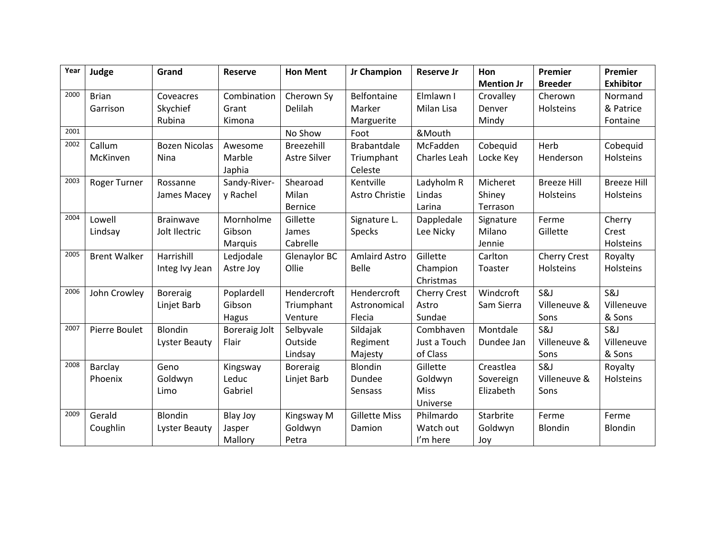| Year | Judge               | Grand                | <b>Reserve</b>       | <b>Hon Ment</b>     | Jr Champion          | <b>Reserve Jr</b>   | <b>Hon</b>        | Premier             | Premier            |
|------|---------------------|----------------------|----------------------|---------------------|----------------------|---------------------|-------------------|---------------------|--------------------|
|      |                     |                      |                      |                     |                      |                     | <b>Mention Jr</b> | <b>Breeder</b>      | <b>Exhibitor</b>   |
| 2000 | <b>Brian</b>        | Coveacres            | Combination          | Cherown Sy          | Belfontaine          | Elmlawn I           | Crovalley         | Cherown             | Normand            |
|      | Garrison            | Skychief             | Grant                | Delilah             | Marker               | Milan Lisa          | Denver            | Holsteins           | & Patrice          |
|      |                     | Rubina               | Kimona               |                     | Marguerite           |                     | Mindy             |                     | Fontaine           |
| 2001 |                     |                      |                      | No Show             | Foot                 | &Mouth              |                   |                     |                    |
| 2002 | Callum              | <b>Bozen Nicolas</b> | Awesome              | Breezehill          | <b>Brabantdale</b>   | McFadden            | Cobequid          | Herb                | Cobequid           |
|      | McKinven            | Nina                 | Marble               | <b>Astre Silver</b> | Triumphant           | Charles Leah        | Locke Key         | Henderson           | Holsteins          |
|      |                     |                      | Japhia               |                     | Celeste              |                     |                   |                     |                    |
| 2003 | Roger Turner        | Rossanne             | Sandy-River-         | Shearoad            | Kentville            | Ladyholm R          | Micheret          | <b>Breeze Hill</b>  | <b>Breeze Hill</b> |
|      |                     | James Macey          | y Rachel             | Milan               | Astro Christie       | Lindas              | Shiney            | Holsteins           | Holsteins          |
|      |                     |                      |                      | <b>Bernice</b>      |                      | Larina              | Terrason          |                     |                    |
| 2004 | Lowell              | <b>Brainwave</b>     | Mornholme            | Gillette            | Signature L.         | Dappledale          | Signature         | Ferme               | Cherry             |
|      | Lindsay             | Jolt Ilectric        | Gibson               | James               | Specks               | Lee Nicky           | Milano            | Gillette            | Crest              |
|      |                     |                      | Marquis              | Cabrelle            |                      |                     | Jennie            |                     | Holsteins          |
| 2005 | <b>Brent Walker</b> | Harrishill           | Ledjodale            | Glenaylor BC        | <b>Amlaird Astro</b> | Gillette            | Carlton           | <b>Cherry Crest</b> | Royalty            |
|      |                     | Integ Ivy Jean       | Astre Joy            | Ollie               | <b>Belle</b>         | Champion            | Toaster           | Holsteins           | Holsteins          |
|      |                     |                      |                      |                     |                      | Christmas           |                   |                     |                    |
| 2006 | John Crowley        | <b>Boreraig</b>      | Poplardell           | Hendercroft         | Hendercroft          | <b>Cherry Crest</b> | Windcroft         | S&J                 | S&J                |
|      |                     | Linjet Barb          | Gibson               | Triumphant          | Astronomical         | Astro               | Sam Sierra        | Villeneuve &        | Villeneuve         |
|      |                     |                      | Hagus                | Venture             | Flecia               | Sundae              |                   | Sons                | & Sons             |
| 2007 | Pierre Boulet       | Blondin              | <b>Boreraig Jolt</b> | Selbyvale           | Sildajak             | Combhaven           | Montdale          | S&J                 | S&J                |
|      |                     | Lyster Beauty        | Flair                | Outside             | Regiment             | Just a Touch        | Dundee Jan        | Villeneuve &        | Villeneuve         |
|      |                     |                      |                      | Lindsay             | Majesty              | of Class            |                   | Sons                | & Sons             |
| 2008 | Barclay             | Geno                 | Kingsway             | <b>Boreraig</b>     | <b>Blondin</b>       | Gillette            | Creastlea         | S&J                 | Royalty            |
|      | Phoenix             | Goldwyn              | Leduc                | Linjet Barb         | Dundee               | Goldwyn             | Sovereign         | Villeneuve &        | Holsteins          |
|      |                     | Limo                 | Gabriel              |                     | Sensass              | Miss                | Elizabeth         | Sons                |                    |
|      |                     |                      |                      |                     |                      | Universe            |                   |                     |                    |
| 2009 | Gerald              | <b>Blondin</b>       | Blay Joy             | Kingsway M          | <b>Gillette Miss</b> | Philmardo           | Starbrite         | Ferme               | Ferme              |
|      | Coughlin            | Lyster Beauty        | Jasper               | Goldwyn             | Damion               | Watch out           | Goldwyn           | <b>Blondin</b>      | Blondin            |
|      |                     |                      | Mallory              | Petra               |                      | I'm here            | Joy               |                     |                    |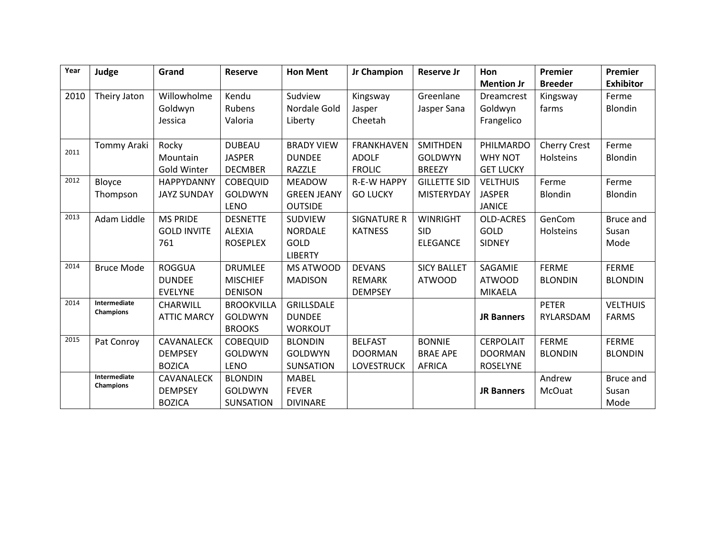| Year | Judge                     | Grand              | <b>Reserve</b>    | <b>Hon Ment</b>    | Jr Champion        | <b>Reserve Jr</b>   | Hon               | Premier             | Premier          |
|------|---------------------------|--------------------|-------------------|--------------------|--------------------|---------------------|-------------------|---------------------|------------------|
|      |                           |                    |                   |                    |                    |                     | <b>Mention Jr</b> | <b>Breeder</b>      | <b>Exhibitor</b> |
| 2010 | Theiry Jaton              | Willowholme        | Kendu             | Sudview            | Kingsway           | Greenlane           | <b>Dreamcrest</b> | Kingsway            | Ferme            |
|      |                           | Goldwyn            | Rubens            | Nordale Gold       | Jasper             | Jasper Sana         | Goldwyn           | farms               | Blondin          |
|      |                           | Jessica            | Valoria           | Liberty            | Cheetah            |                     | Frangelico        |                     |                  |
|      |                           |                    |                   |                    |                    |                     |                   |                     |                  |
| 2011 | Tommy Araki               | Rocky              | <b>DUBEAU</b>     | <b>BRADY VIEW</b>  | <b>FRANKHAVEN</b>  | <b>SMITHDEN</b>     | PHILMARDO         | <b>Cherry Crest</b> | Ferme            |
|      |                           | Mountain           | <b>JASPER</b>     | <b>DUNDEE</b>      | <b>ADOLF</b>       | <b>GOLDWYN</b>      | <b>WHY NOT</b>    | Holsteins           | Blondin          |
|      |                           | <b>Gold Winter</b> | <b>DECMBER</b>    | RAZZLE             | <b>FROLIC</b>      | <b>BREEZY</b>       | <b>GET LUCKY</b>  |                     |                  |
| 2012 | Bloyce                    | HAPPYDANNY         | <b>COBEQUID</b>   | <b>MEADOW</b>      | <b>R-E-W HAPPY</b> | <b>GILLETTE SID</b> | <b>VELTHUIS</b>   | Ferme               | Ferme            |
|      | Thompson                  | <b>JAYZ SUNDAY</b> | <b>GOLDWYN</b>    | <b>GREEN JEANY</b> | <b>GO LUCKY</b>    | <b>MISTERYDAY</b>   | <b>JASPER</b>     | Blondin             | Blondin          |
|      |                           |                    | <b>LENO</b>       | <b>OUTSIDE</b>     |                    |                     | <b>JANICE</b>     |                     |                  |
| 2013 | Adam Liddle               | <b>MS PRIDE</b>    | <b>DESNETTE</b>   | <b>SUDVIEW</b>     | <b>SIGNATURE R</b> | <b>WINRIGHT</b>     | OLD-ACRES         | GenCom              | <b>Bruce and</b> |
|      |                           | <b>GOLD INVITE</b> | <b>ALEXIA</b>     | <b>NORDALE</b>     | <b>KATNESS</b>     | <b>SID</b>          | <b>GOLD</b>       | Holsteins           | Susan            |
|      |                           | 761                | <b>ROSEPLEX</b>   | GOLD               |                    | <b>ELEGANCE</b>     | SIDNEY            |                     | Mode             |
|      |                           |                    |                   | <b>LIBERTY</b>     |                    |                     |                   |                     |                  |
| 2014 | <b>Bruce Mode</b>         | <b>ROGGUA</b>      | <b>DRUMLEE</b>    | <b>MS ATWOOD</b>   | <b>DEVANS</b>      | <b>SICY BALLET</b>  | SAGAMIE           | <b>FERME</b>        | <b>FERME</b>     |
|      |                           | <b>DUNDEE</b>      | <b>MISCHIEF</b>   | <b>MADISON</b>     | <b>REMARK</b>      | <b>ATWOOD</b>       | <b>ATWOOD</b>     | <b>BLONDIN</b>      | <b>BLONDIN</b>   |
|      |                           | <b>EVELYNE</b>     | <b>DENISON</b>    |                    | <b>DEMPSEY</b>     |                     | <b>MIKAELA</b>    |                     |                  |
| 2014 | Intermediate<br>Champions | <b>CHARWILL</b>    | <b>BROOKVILLA</b> | GRILLSDALE         |                    |                     |                   | <b>PETER</b>        | <b>VELTHUIS</b>  |
|      |                           | <b>ATTIC MARCY</b> | <b>GOLDWYN</b>    | <b>DUNDEE</b>      |                    |                     | <b>JR Banners</b> | RYLARSDAM           | <b>FARMS</b>     |
|      |                           |                    | <b>BROOKS</b>     | <b>WORKOUT</b>     |                    |                     |                   |                     |                  |
| 2015 | Pat Conroy                | CAVANALECK         | <b>COBEQUID</b>   | <b>BLONDIN</b>     | <b>BELFAST</b>     | <b>BONNIE</b>       | <b>CERPOLAIT</b>  | <b>FERME</b>        | <b>FERME</b>     |
|      |                           | <b>DEMPSEY</b>     | <b>GOLDWYN</b>    | <b>GOLDWYN</b>     | <b>DOORMAN</b>     | <b>BRAE APE</b>     | <b>DOORMAN</b>    | <b>BLONDIN</b>      | <b>BLONDIN</b>   |
|      |                           | <b>BOZICA</b>      | <b>LENO</b>       | <b>SUNSATION</b>   | <b>LOVESTRUCK</b>  | <b>AFRICA</b>       | <b>ROSELYNE</b>   |                     |                  |
|      | Intermediate<br>Champions | CAVANALECK         | <b>BLONDIN</b>    | <b>MABEL</b>       |                    |                     |                   | Andrew              | Bruce and        |
|      |                           | <b>DEMPSEY</b>     | <b>GOLDWYN</b>    | <b>FEVER</b>       |                    |                     | <b>JR Banners</b> | McOuat              | Susan            |
|      |                           | <b>BOZICA</b>      | <b>SUNSATION</b>  | <b>DIVINARE</b>    |                    |                     |                   |                     | Mode             |